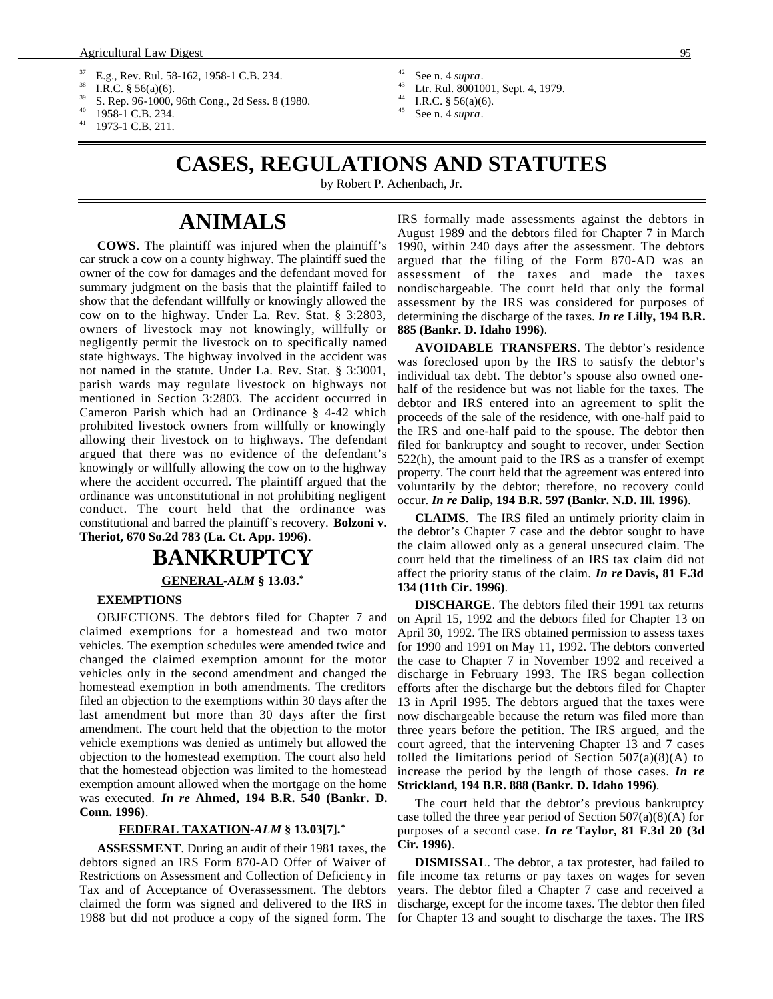- <span id="page-0-0"></span> $^{37}$  E.g., Rev. Rul. 58-162, 1958-1 C.B. 234.
- <sup>38</sup> I.R.C. § 56(a)(6).
- S. Rep. 96-1000, 96th Cong., 2d Sess. 8 (1980.
- $^{40}$  1958-1 C.B. 234.
- 1973-1 C.B. 211.
- $^{42}$  See n. 4 *supra*.
- <sup>43</sup> Ltr. Rul. 8001001, Sept. 4, 1979.
- <sup>44</sup> I.R.C. § 56(a)(6).
- See n. 4 *supra*.

# **CASES, REGULATIONS AND STATUTES**

by Robert P. Achenbach, Jr.

# **ANIMALS**

**COWS**. The plaintiff was injured when the plaintiff's car struck a cow on a county highway. The plaintiff sued the owner of the cow for damages and the defendant moved for summary judgment on the basis that the plaintiff failed to show that the defendant willfully or knowingly allowed the cow on to the highway. Under La. Rev. Stat. § 3:2803, owners of livestock may not knowingly, willfully or negligently permit the livestock on to specifically named state highways. The highway involved in the accident was not named in the statute. Under La. Rev. Stat. § 3:3001, parish wards may regulate livestock on highways not mentioned in Section 3:2803. The accident occurred in Cameron Parish which had an Ordinance § 4-42 which prohibited livestock owners from willfully or knowingly allowing their livestock on to highways. The defendant argued that there was no evidence of the defendant's knowingly or willfully allowing the cow on to the highway where the accident occurred. The plaintiff argued that the ordinance was unconstitutional in not prohibiting negligent conduct. The court held that the ordinance was constitutional and barred the plaintiff's recovery. **Bolzoni v. Theriot, 670 So.2d 783 (La. Ct. App. 1996)**.

# **BANKRUPTCY GENERAL -***ALM* **§ 13.03.\***

#### **EXEMPTIONS**

OBJECTIONS. The debtors filed for Chapter 7 and claimed exemptions for a homestead and two motor vehicles. The exemption schedules were amended twice and changed the claimed exemption amount for the motor vehicles only in the second amendment and changed the homestead exemption in both amendments. The creditors filed an objection to the exemptions within 30 days after the last amendment but more than 30 days after the first amendment. The court held that the objection to the motor vehicle exemptions was denied as untimely but allowed the objection to the homestead exemption. The court also held that the homestead objection was limited to the homestead exemption amount allowed when the mortgage on the home was executed. *In re* **Ahmed, 194 B.R. 540 (Bankr. D. Conn. 1996)**.

#### **FEDERAL TAXATION -***ALM* **§ 13.03[7].\***

**ASSESSMENT**. During an audit of their 1981 taxes, the debtors signed an IRS Form 870-AD Offer of Waiver of Restrictions on Assessment and Collection of Deficiency in Tax and of Acceptance of Overassessment. The debtors claimed the form was signed and delivered to the IRS in 1988 but did not produce a copy of the signed form. The IRS formally made assessments against the debtors in August 1989 and the debtors filed for Chapter 7 in March 1990, within 240 days after the assessment. The debtors argued that the filing of the Form 870-AD was an assessment of the taxes and made the taxes nondischargeable. The court held that only the formal assessment by the IRS was considered for purposes of determining the discharge of the taxes. *In re* **Lilly, 194 B.R. 885 (Bankr. D. Idaho 1996)**.

**AVOIDABLE TRANSFERS**. The debtor's residence was foreclosed upon by the IRS to satisfy the debtor's individual tax debt. The debtor's spouse also owned onehalf of the residence but was not liable for the taxes. The debtor and IRS entered into an agreement to split the proceeds of the sale of the residence, with one-half paid to the IRS and one-half paid to the spouse. The debtor then filed for bankruptcy and sought to recover, under Section 522(h), the amount paid to the IRS as a transfer of exempt property. The court held that the agreement was entered into voluntarily by the debtor; therefore, no recovery could occur. *In re* **Dalip, 194 B.R. 597 (Bankr. N.D. Ill. 1996)**.

**CLAIMS**. The IRS filed an untimely priority claim in the debtor's Chapter 7 case and the debtor sought to have the claim allowed only as a general unsecured claim. The court held that the timeliness of an IRS tax claim did not affect the priority status of the claim. *In re* **Davis, 81 F.3d 134 (11th Cir. 1996)**.

**DISCHARGE**. The debtors filed their 1991 tax returns on April 15, 1992 and the debtors filed for Chapter 13 on April 30, 1992. The IRS obtained permission to assess taxes for 1990 and 1991 on May 11, 1992. The debtors converted the case to Chapter 7 in November 1992 and received a discharge in February 1993. The IRS began collection efforts after the discharge but the debtors filed for Chapter 13 in April 1995. The debtors argued that the taxes were now dischargeable because the return was filed more than three years before the petition. The IRS argued, and the court agreed, that the intervening Chapter 13 and 7 cases tolled the limitations period of Section  $507(a)(8)(A)$  to increase the period by the length of those cases. *In re* **Strickland, 194 B.R. 888 (Bankr. D. Idaho 1996)**.

The court held that the debtor's previous bankruptcy case tolled the three year period of Section  $507(a)(8)(A)$  for purposes of a second case. *In re* **Taylor, 81 F.3d 20 (3d Cir. 1996)**.

**DISMISSAL**. The debtor, a tax protester, had failed to file income tax returns or pay taxes on wages for seven years. The debtor filed a Chapter 7 case and received a discharge, except for the income taxes. The debtor then filed for Chapter 13 and sought to discharge the taxes. The IRS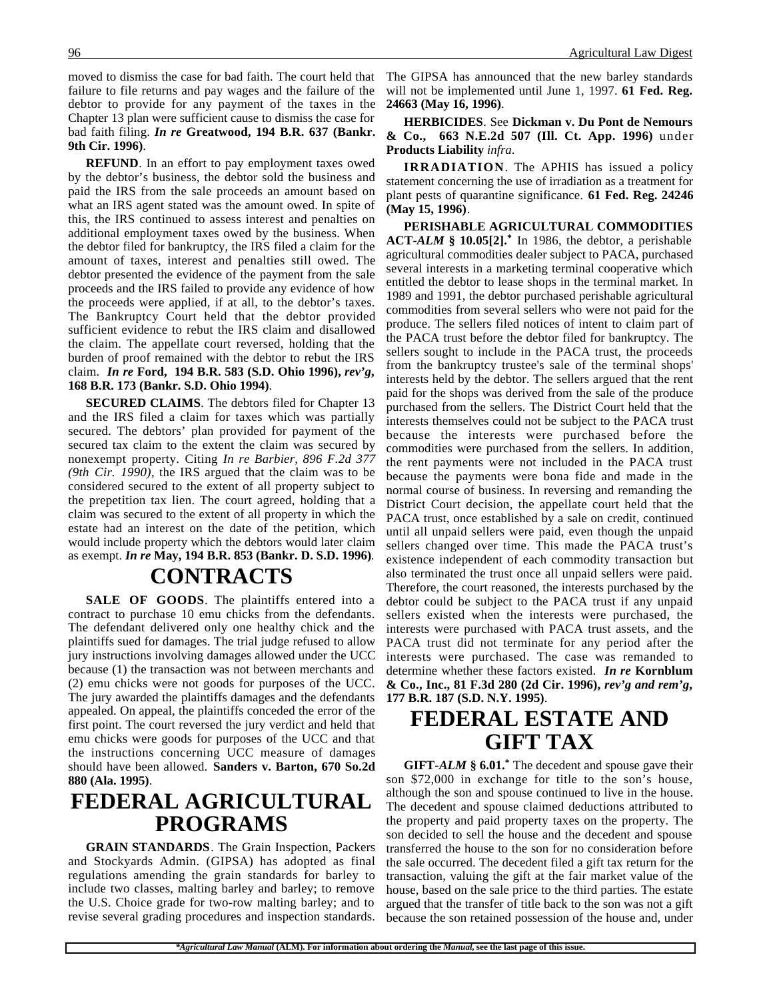moved to dismiss the case for bad faith. The court held that failure to file returns and pay wages and the failure of the debtor to provide for any payment of the taxes in the Chapter 13 plan were sufficient cause to dismiss the case for bad faith filing. *In re* **Greatwood, 194 B.R. 637 (Bankr. 9th Cir. 1996)**.

**REFUND**. In an effort to pay employment taxes owed by the debtor's business, the debtor sold the business and paid the IRS from the sale proceeds an amount based on what an IRS agent stated was the amount owed. In spite of this, the IRS continued to assess interest and penalties on additional employment taxes owed by the business. When the debtor filed for bankruptcy, the IRS filed a claim for the amount of taxes, interest and penalties still owed. The debtor presented the evidence of the payment from the sale proceeds and the IRS failed to provide any evidence of how the proceeds were applied, if at all, to the debtor's taxes. The Bankruptcy Court held that the debtor provided sufficient evidence to rebut the IRS claim and disallowed the claim. The appellate court reversed, holding that the burden of proof remained with the debtor to rebut the IRS claim. *In re* **Ford, 194 B.R. 583 (S.D. Ohio 1996),** *rev'g***, 168 B.R. 173 (Bankr. S.D. Ohio 1994)**.

**SECURED CLAIMS**. The debtors filed for Chapter 13 and the IRS filed a claim for taxes which was partially secured. The debtors' plan provided for payment of the secured tax claim to the extent the claim was secured by nonexempt property. Citing *In re Barbier, 896 F.2d 377 (9th Cir. 1990)*, the IRS argued that the claim was to be considered secured to the extent of all property subject to the prepetition tax lien. The court agreed, holding that a claim was secured to the extent of all property in which the estate had an interest on the date of the petition, which would include property which the debtors would later claim as exempt. *In re* **May, 194 B.R. 853 (Bankr. D. S.D. 1996)**.

# **CONTRACTS**

**SALE OF GOODS**. The plaintiffs entered into a contract to purchase 10 emu chicks from the defendants. The defendant delivered only one healthy chick and the plaintiffs sued for damages. The trial judge refused to allow jury instructions involving damages allowed under the UCC because (1) the transaction was not between merchants and (2) emu chicks were not goods for purposes of the UCC. The jury awarded the plaintiffs damages and the defendants appealed. On appeal, the plaintiffs conceded the error of the first point. The court reversed the jury verdict and held that emu chicks were goods for purposes of the UCC and that the instructions concerning UCC measure of damages should have been allowed. **Sanders v. Barton, 670 So.2d 880 (Ala. 1995)**.

## **FEDERAL AGRICULTURAL PROGRAMS**

**GRAIN STANDARDS**. The Grain Inspection, Packers and Stockyards Admin. (GIPSA) has adopted as final regulations amending the grain standards for barley to include two classes, malting barley and barley; to remove the U.S. Choice grade for two-row malting barley; and to revise several grading procedures and inspection standards.

The GIPSA has announced that the new barley standards will not be implemented until June 1, 1997. **61 Fed. Reg. 24663 (May 16, 1996)**.

**HERBICIDES**. See **Dickman v. Du Pont de Nemours & Co., 663 N.E.2d 507 (Ill. Ct. App. 1996)** under **Products Liability** *infra*.

**IRRADIATION**. The APHIS has issued a policy statement concerning the use of irradiation as a treatment for plant pests of quarantine significance. **61 Fed. Reg. 24246 (May 15, 1996)**.

**PERISHABLE AGRICULTURAL COMMODITIES ACT-***ALM* **§ 10.05[2].\*** In 1986, the debtor, a perishable agricultural commodities dealer subject to PACA, purchased several interests in a marketing terminal cooperative which entitled the debtor to lease shops in the terminal market. In 1989 and 1991, the debtor purchased perishable agricultural commodities from several sellers who were not paid for the produce. The sellers filed notices of intent to claim part of the PACA trust before the debtor filed for bankruptcy. The sellers sought to include in the PACA trust, the proceeds from the bankruptcy trustee's sale of the terminal shops' interests held by the debtor. The sellers argued that the rent paid for the shops was derived from the sale of the produce purchased from the sellers. The District Court held that the interests themselves could not be subject to the PACA trust because the interests were purchased before the commodities were purchased from the sellers. In addition, the rent payments were not included in the PACA trust because the payments were bona fide and made in the normal course of business. In reversing and remanding the District Court decision, the appellate court held that the PACA trust, once established by a sale on credit, continued until all unpaid sellers were paid, even though the unpaid sellers changed over time. This made the PACA trust's existence independent of each commodity transaction but also terminated the trust once all unpaid sellers were paid. Therefore, the court reasoned, the interests purchased by the debtor could be subject to the PACA trust if any unpaid sellers existed when the interests were purchased, the interests were purchased with PACA trust assets, and the PACA trust did not terminate for any period after the interests were purchased. The case was remanded to determine whether these factors existed. *In re* **Kornblum & Co., Inc., 81 F.3d 280 (2d Cir. 1996),** *rev'g and rem'g***, 177 B.R. 187 (S.D. N.Y. 1995)**.

## **FEDERAL ESTATE AND GIFT TAX**

**GIFT-***ALM* **§ 6.01.\*** The decedent and spouse gave their son \$72,000 in exchange for title to the son's house, although the son and spouse continued to live in the house. The decedent and spouse claimed deductions attributed to the property and paid property taxes on the property. The son decided to sell the house and the decedent and spouse transferred the house to the son for no consideration before the sale occurred. The decedent filed a gift tax return for the transaction, valuing the gift at the fair market value of the house, based on the sale price to the third parties. The estate argued that the transfer of title back to the son was not a gift because the son retained possession of the house and, under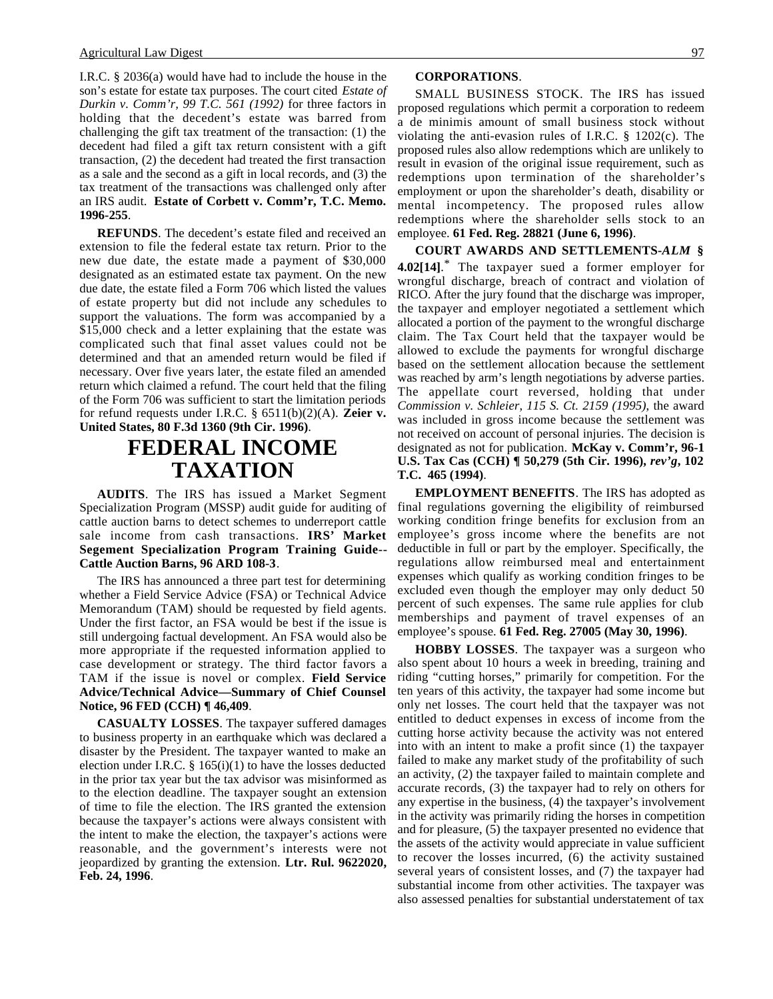I.R.C. § 2036(a) would have had to include the house in the son's estate for estate tax purposes. The court cited *Estate of Durkin v. Comm'r, 99 T.C. 561 (1992)* for three factors in holding that the decedent's estate was barred from challenging the gift tax treatment of the transaction: (1) the decedent had filed a gift tax return consistent with a gift transaction, (2) the decedent had treated the first transaction as a sale and the second as a gift in local records, and (3) the tax treatment of the transactions was challenged only after an IRS audit. **Estate of Corbett v. Comm'r, T.C. Memo. 1996-255**.

**REFUNDS**. The decedent's estate filed and received an extension to file the federal estate tax return. Prior to the new due date, the estate made a payment of \$30,000 designated as an estimated estate tax payment. On the new due date, the estate filed a Form 706 which listed the values of estate property but did not include any schedules to support the valuations. The form was accompanied by a \$15,000 check and a letter explaining that the estate was complicated such that final asset values could not be determined and that an amended return would be filed if necessary. Over five years later, the estate filed an amended return which claimed a refund. The court held that the filing of the Form 706 was sufficient to start the limitation periods for refund requests under I.R.C. § 6511(b)(2)(A). **Zeier v. United States, 80 F.3d 1360 (9th Cir. 1996)**.

### **FEDERAL INCOME TAXATION**

**AUDITS**. The IRS has issued a Market Segment Specialization Program (MSSP) audit guide for auditing of cattle auction barns to detect schemes to underreport cattle sale income from cash transactions. **IRS' Market Segement Specialization Program Training Guide-- Cattle Auction Barns, 96 ARD 108-3**.

The IRS has announced a three part test for determining whether a Field Service Advice (FSA) or Technical Advice Memorandum (TAM) should be requested by field agents. Under the first factor, an FSA would be best if the issue is still undergoing factual development. An FSA would also be more appropriate if the requested information applied to case development or strategy. The third factor favors a TAM if the issue is novel or complex. **Field Service Advice/Technical Advice—Summary of Chief Counsel Notice, 96 FED (CCH) ¶ 46,409**.

**CASUALTY LOSSES**. The taxpayer suffered damages to business property in an earthquake which was declared a disaster by the President. The taxpayer wanted to make an election under I.R.C.  $\S$  165(i)(1) to have the losses deducted in the prior tax year but the tax advisor was misinformed as to the election deadline. The taxpayer sought an extension of time to file the election. The IRS granted the extension because the taxpayer's actions were always consistent with the intent to make the election, the taxpayer's actions were reasonable, and the government's interests were not jeopardized by granting the extension. **Ltr. Rul. 9622020, Feb. 24, 1996**.

SMALL BUSINESS STOCK. The IRS has issued proposed regulations which permit a corporation to redeem a de minimis amount of small business stock without violating the anti-evasion rules of I.R.C. § 1202(c). The proposed rules also allow redemptions which are unlikely to result in evasion of the original issue requirement, such as redemptions upon termination of the shareholder's employment or upon the shareholder's death, disability or mental incompetency. The proposed rules allow redemptions where the shareholder sells stock to an employee. **61 Fed. Reg. 28821 (June 6, 1996)**.

**COURT AWARDS AND SETTLEMENTS-***ALM* **§ 4.02[14]**. \* The taxpayer sued a former employer for wrongful discharge, breach of contract and violation of RICO. After the jury found that the discharge was improper, the taxpayer and employer negotiated a settlement which allocated a portion of the payment to the wrongful discharge claim. The Tax Court held that the taxpayer would be allowed to exclude the payments for wrongful discharge based on the settlement allocation because the settlement was reached by arm's length negotiations by adverse parties. The appellate court reversed, holding that under *Commission v. Schleier, 115 S. Ct. 2159 (1995)*, the award was included in gross income because the settlement was not received on account of personal injuries. The decision is designated as not for publication. **McKay v. Comm'r, 96-1 U.S. Tax Cas (CCH) ¶ 50,279 (5th Cir. 1996),** *rev'g***, 102 T.C. 465 (1994)**.

**EMPLOYMENT BENEFITS**. The IRS has adopted as final regulations governing the eligibility of reimbursed working condition fringe benefits for exclusion from an employee's gross income where the benefits are not deductible in full or part by the employer. Specifically, the regulations allow reimbursed meal and entertainment expenses which qualify as working condition fringes to be excluded even though the employer may only deduct 50 percent of such expenses. The same rule applies for club memberships and payment of travel expenses of an employee's spouse. **61 Fed. Reg. 27005 (May 30, 1996)**.

**HOBBY LOSSES**. The taxpayer was a surgeon who also spent about 10 hours a week in breeding, training and riding "cutting horses," primarily for competition. For the ten years of this activity, the taxpayer had some income but only net losses. The court held that the taxpayer was not entitled to deduct expenses in excess of income from the cutting horse activity because the activity was not entered into with an intent to make a profit since (1) the taxpayer failed to make any market study of the profitability of such an activity, (2) the taxpayer failed to maintain complete and accurate records, (3) the taxpayer had to rely on others for any expertise in the business, (4) the taxpayer's involvement in the activity was primarily riding the horses in competition and for pleasure, (5) the taxpayer presented no evidence that the assets of the activity would appreciate in value sufficient to recover the losses incurred, (6) the activity sustained several years of consistent losses, and (7) the taxpayer had substantial income from other activities. The taxpayer was also assessed penalties for substantial understatement of tax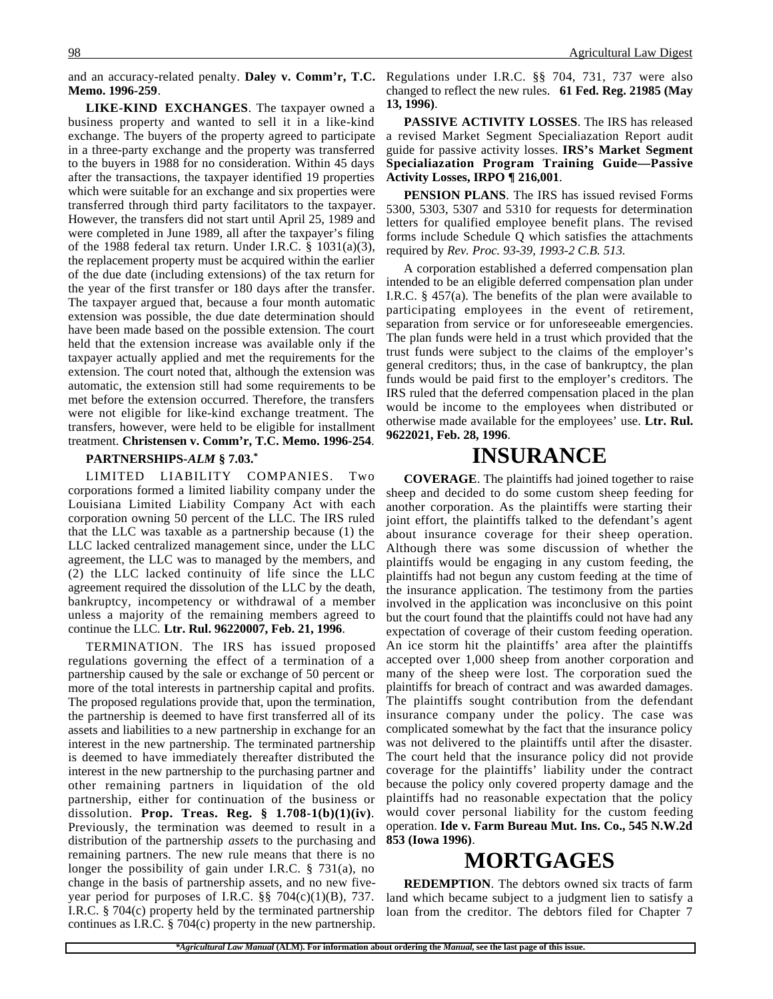**Memo. 1996-259**.

**LIKE-KIND EXCHANGES**. The taxpayer owned a business property and wanted to sell it in a like-kind exchange. The buyers of the property agreed to participate in a three-party exchange and the property was transferred to the buyers in 1988 for no consideration. Within 45 days after the transactions, the taxpayer identified 19 properties which were suitable for an exchange and six properties were transferred through third party facilitators to the taxpayer. However, the transfers did not start until April 25, 1989 and were completed in June 1989, all after the taxpayer's filing of the 1988 federal tax return. Under I.R.C. § 1031(a)(3), the replacement property must be acquired within the earlier of the due date (including extensions) of the tax return for the year of the first transfer or 180 days after the transfer. The taxpayer argued that, because a four month automatic extension was possible, the due date determination should have been made based on the possible extension. The court held that the extension increase was available only if the taxpayer actually applied and met the requirements for the extension. The court noted that, although the extension was automatic, the extension still had some requirements to be met before the extension occurred. Therefore, the transfers were not eligible for like-kind exchange treatment. The transfers, however, were held to be eligible for installment treatment. **Christensen v. Comm'r, T.C. Memo. 1996-254**.

#### **PARTNERSHIPS-***ALM* **§ 7.03.\***

LIMITED LIABILITY COMPANIES. Two corporations formed a limited liability company under the Louisiana Limited Liability Company Act with each corporation owning 50 percent of the LLC. The IRS ruled that the LLC was taxable as a partnership because (1) the LLC lacked centralized management since, under the LLC agreement, the LLC was to managed by the members, and (2) the LLC lacked continuity of life since the LLC agreement required the dissolution of the LLC by the death, bankruptcy, incompetency or withdrawal of a member unless a majority of the remaining members agreed to continue the LLC. **Ltr. Rul. 96220007, Feb. 21, 1996**.

TERMINATION. The IRS has issued proposed regulations governing the effect of a termination of a partnership caused by the sale or exchange of 50 percent or more of the total interests in partnership capital and profits. The proposed regulations provide that, upon the termination, the partnership is deemed to have first transferred all of its assets and liabilities to a new partnership in exchange for an interest in the new partnership. The terminated partnership is deemed to have immediately thereafter distributed the interest in the new partnership to the purchasing partner and other remaining partners in liquidation of the old partnership, either for continuation of the business or dissolution. **Prop. Treas. Reg. § 1.708-1(b)(1)(iv)**. Previously, the termination was deemed to result in a distribution of the partnership *assets* to the purchasing and remaining partners. The new rule means that there is no longer the possibility of gain under I.R.C. § 731(a), no change in the basis of partnership assets, and no new fiveyear period for purposes of I.R.C.  $\S$ § 704(c)(1)(B), 737. I.R.C. § 704(c) property held by the terminated partnership continues as I.R.C. § 704(c) property in the new partnership.

and an accuracy-related penalty. **Daley v. Comm'r, T.C.** Regulations under I.R.C. §§ 704, 731, 737 were also changed to reflect the new rules. **61 Fed. Reg. 21985 (May 13, 1996)**.

> **PASSIVE ACTIVITY LOSSES**. The IRS has released a revised Market Segment Specialiazation Report audit guide for passive activity losses. **IRS's Market Segment Specialiazation Program Training Guide—Passive Activity Losses, IRPO ¶ 216,001**.

> **PENSION PLANS**. The IRS has issued revised Forms 5300, 5303, 5307 and 5310 for requests for determination letters for qualified employee benefit plans. The revised forms include Schedule Q which satisfies the attachments required by *Rev. Proc. 93-39, 1993-2 C.B. 513*.

> A corporation established a deferred compensation plan intended to be an eligible deferred compensation plan under I.R.C. § 457(a). The benefits of the plan were available to participating employees in the event of retirement, separation from service or for unforeseeable emergencies. The plan funds were held in a trust which provided that the trust funds were subject to the claims of the employer's general creditors; thus, in the case of bankruptcy, the plan funds would be paid first to the employer's creditors. The IRS ruled that the deferred compensation placed in the plan would be income to the employees when distributed or otherwise made available for the employees' use. **Ltr. Rul. 9622021, Feb. 28, 1996**.

### **INSURANCE**

**COVERAGE**. The plaintiffs had joined together to raise sheep and decided to do some custom sheep feeding for another corporation. As the plaintiffs were starting their joint effort, the plaintiffs talked to the defendant's agent about insurance coverage for their sheep operation. Although there was some discussion of whether the plaintiffs would be engaging in any custom feeding, the plaintiffs had not begun any custom feeding at the time of the insurance application. The testimony from the parties involved in the application was inconclusive on this point but the court found that the plaintiffs could not have had any expectation of coverage of their custom feeding operation. An ice storm hit the plaintiffs' area after the plaintiffs accepted over 1,000 sheep from another corporation and many of the sheep were lost. The corporation sued the plaintiffs for breach of contract and was awarded damages. The plaintiffs sought contribution from the defendant insurance company under the policy. The case was complicated somewhat by the fact that the insurance policy was not delivered to the plaintiffs until after the disaster. The court held that the insurance policy did not provide coverage for the plaintiffs' liability under the contract because the policy only covered property damage and the plaintiffs had no reasonable expectation that the policy would cover personal liability for the custom feeding operation. **Ide v. Farm Bureau Mut. Ins. Co., 545 N.W.2d 853 (Iowa 1996)**.

### **MORTGAGES**

**REDEMPTION**. The debtors owned six tracts of farm land which became subject to a judgment lien to satisfy a loan from the creditor. The debtors filed for Chapter 7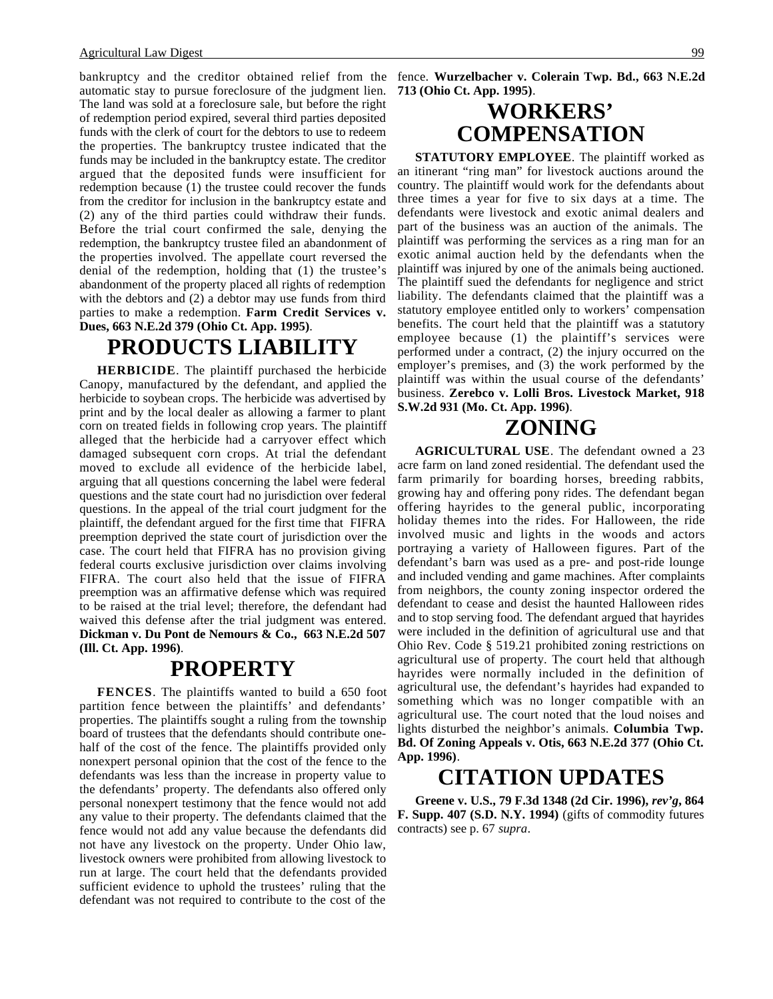bankruptcy and the creditor obtained relief from the fence. **Wurzelbacher v. Colerain Twp. Bd., 663 N.E.2d** automatic stay to pursue foreclosure of the judgment lien. The land was sold at a foreclosure sale, but before the right of redemption period expired, several third parties deposited funds with the clerk of court for the debtors to use to redeem the properties. The bankruptcy trustee indicated that the funds may be included in the bankruptcy estate. The creditor argued that the deposited funds were insufficient for redemption because (1) the trustee could recover the funds from the creditor for inclusion in the bankruptcy estate and (2) any of the third parties could withdraw their funds. Before the trial court confirmed the sale, denying the redemption, the bankruptcy trustee filed an abandonment of the properties involved. The appellate court reversed the denial of the redemption, holding that (1) the trustee's abandonment of the property placed all rights of redemption with the debtors and (2) a debtor may use funds from third parties to make a redemption. **Farm Credit Services v. Dues, 663 N.E.2d 379 (Ohio Ct. App. 1995)**.

#### **PRODUCTS LIABILITY**

**HERBICIDE**. The plaintiff purchased the herbicide Canopy, manufactured by the defendant, and applied the herbicide to soybean crops. The herbicide was advertised by print and by the local dealer as allowing a farmer to plant corn on treated fields in following crop years. The plaintiff alleged that the herbicide had a carryover effect which damaged subsequent corn crops. At trial the defendant moved to exclude all evidence of the herbicide label, arguing that all questions concerning the label were federal questions and the state court had no jurisdiction over federal questions. In the appeal of the trial court judgment for the plaintiff, the defendant argued for the first time that FIFRA preemption deprived the state court of jurisdiction over the case. The court held that FIFRA has no provision giving federal courts exclusive jurisdiction over claims involving FIFRA. The court also held that the issue of FIFRA preemption was an affirmative defense which was required to be raised at the trial level; therefore, the defendant had waived this defense after the trial judgment was entered. **Dickman v. Du Pont de Nemours & Co., 663 N.E.2d 507 (Ill. Ct. App. 1996)**.

#### **PROPERTY**

**FENCES**. The plaintiffs wanted to build a 650 foot partition fence between the plaintiffs' and defendants' properties. The plaintiffs sought a ruling from the township board of trustees that the defendants should contribute onehalf of the cost of the fence. The plaintiffs provided only nonexpert personal opinion that the cost of the fence to the defendants was less than the increase in property value to the defendants' property. The defendants also offered only personal nonexpert testimony that the fence would not add any value to their property. The defendants claimed that the fence would not add any value because the defendants did not have any livestock on the property. Under Ohio law, livestock owners were prohibited from allowing livestock to run at large. The court held that the defendants provided sufficient evidence to uphold the trustees' ruling that the defendant was not required to contribute to the cost of the

**713 (Ohio Ct. App. 1995)**.

## **WORKERS' COMPENSATION**

**STATUTORY EMPLOYEE**. The plaintiff worked as an itinerant "ring man" for livestock auctions around the country. The plaintiff would work for the defendants about three times a year for five to six days at a time. The defendants were livestock and exotic animal dealers and part of the business was an auction of the animals. The plaintiff was performing the services as a ring man for an exotic animal auction held by the defendants when the plaintiff was injured by one of the animals being auctioned. The plaintiff sued the defendants for negligence and strict liability. The defendants claimed that the plaintiff was a statutory employee entitled only to workers' compensation benefits. The court held that the plaintiff was a statutory employee because (1) the plaintiff's services were performed under a contract, (2) the injury occurred on the employer's premises, and (3) the work performed by the plaintiff was within the usual course of the defendants' business. **Zerebco v. Lolli Bros. Livestock Market, 918 S.W.2d 931 (Mo. Ct. App. 1996)**.

#### **ZONING**

**AGRICULTURAL USE**. The defendant owned a 23 acre farm on land zoned residential. The defendant used the farm primarily for boarding horses, breeding rabbits, growing hay and offering pony rides. The defendant began offering hayrides to the general public, incorporating holiday themes into the rides. For Halloween, the ride involved music and lights in the woods and actors portraying a variety of Halloween figures. Part of the defendant's barn was used as a pre- and post-ride lounge and included vending and game machines. After complaints from neighbors, the county zoning inspector ordered the defendant to cease and desist the haunted Halloween rides and to stop serving food. The defendant argued that hayrides were included in the definition of agricultural use and that Ohio Rev. Code § 519.21 prohibited zoning restrictions on agricultural use of property. The court held that although hayrides were normally included in the definition of agricultural use, the defendant's hayrides had expanded to something which was no longer compatible with an agricultural use. The court noted that the loud noises and lights disturbed the neighbor's animals. **Columbia Twp. Bd. Of Zoning Appeals v. Otis, 663 N.E.2d 377 (Ohio Ct. App. 1996)**.

# **CITATION UPDATES**

**Greene v. U.S., 79 F.3d 1348 (2d Cir. 1996),** *rev'g***, 864 F. Supp. 407 (S.D. N.Y. 1994)** (gifts of commodity futures contracts) see p. 67 *supra*.